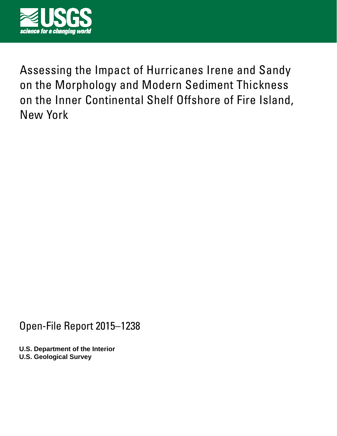

Assessing the Impact of Hurricanes Irene and Sandy on the Morphology and Modern Sediment Thickness on the Inner Continental Shelf Offshore of Fire Island, New York

Open-File Report 2015–1238

**U.S. Department of the Interior U.S. Geological Survey**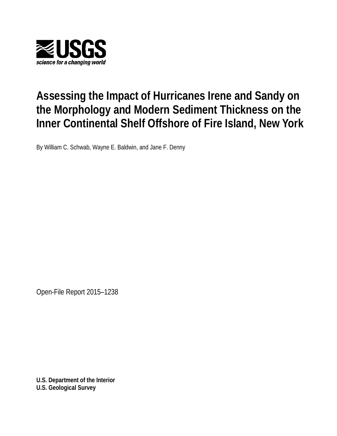

# **Assessing the Impact of Hurricanes Irene and Sandy on the Morphology and Modern Sediment Thickness on the Inner Continental Shelf Offshore of Fire Island, New York**

By William C. Schwab, Wayne E. Baldwin, and Jane F. Denny

Open-File Report 2015–1238

**U.S. Department of the Interior U.S. Geological Survey**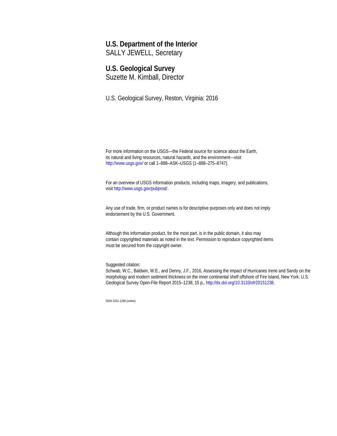#### **U.S. Department of the Interior**

SALLY JEWELL, Secretary

### **U.S. Geological Survey**

Suzette M. Kimball, Director

U.S. Geological Survey, Reston, Virginia: 2016

For more information on the USGS—the Federal source for science about the Earth, its natural and living resources, natural hazards, and the environment—visit <http://www.usgs.gov/> or call 1–888–ASK–USGS (1–888–275–8747).

For an overview of USGS information products, including maps, imagery, and publications, visi[t http://www.usgs.gov/pubprod/](http://www.usgs.gov/pubprod).

Any use of trade, firm, or product names is for descriptive purposes only and does not imply endorsement by the U.S. Government.

Although this information product, for the most part, is in the public domain, it also may contain copyrighted materials as noted in the text. Permission to reproduce copyrighted items must be secured from the copyright owner.

Suggested citation:

Schwab, W.C., Baldwin, W.E., and Denny, J.F., 2016, Assessing the impact of Hurricanes Irene and Sandy on the morphology and modern sediment thickness on the inner continental shelf offshore of Fire Island, New York: U.S. Geological Survey Open-File Report 2015–1238, 15 p.[, http://dx.doi.org/10.3133/ofr20151238.](http://dx.doi.org/10.3133/ofr20151238) 

ISSN 2331-1258 (online)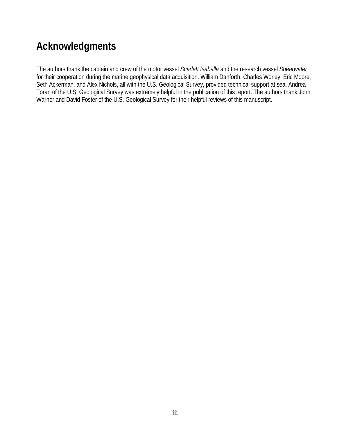## **Acknowledgments**

The authors thank the captain and crew of the motor vessel *Scarlett Isabella* and the research vessel *Shearwater* for their cooperation during the marine geophysical data acquisition. William Danforth, Charles Worley, Eric Moore, Seth Ackerman, and Alex Nichols, all with the U.S. Geological Survey, provided technical support at sea. Andrea Toran of the U.S. Geological Survey was extremely helpful in the publication of this report. The authors thank John Warner and David Foster of the U.S. Geological Survey for their helpful reviews of this manuscript.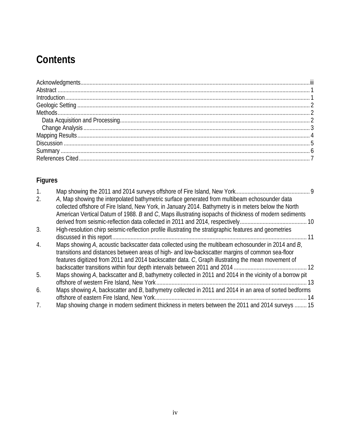# **Contents**

## **Figures**

| 2.               | A, Map showing the interpolated bathymetric surface generated from multibeam echosounder data<br>collected offshore of Fire Island, New York, in January 2014. Bathymetry is in meters below the North<br>American Vertical Datum of 1988. B and C, Maps illustrating isopachs of thickness of modern sediments |
|------------------|-----------------------------------------------------------------------------------------------------------------------------------------------------------------------------------------------------------------------------------------------------------------------------------------------------------------|
| 3.               | High-resolution chirp seismic-reflection profile illustrating the stratigraphic features and geometries                                                                                                                                                                                                         |
| $\overline{4}$ . | Maps showing A, acoustic backscatter data collected using the multibeam echosounder in 2014 and B,<br>transitions and distances between areas of high- and low-backscatter margins of common sea-floor<br>features digitized from 2011 and 2014 backscatter data. C, Graph illustrating the mean movement of    |
| 5.               | Maps showing A, backscatter and B, bathymetry collected in 2011 and 2014 in the vicinity of a borrow pit<br>$-13$                                                                                                                                                                                               |
| 6.               | Maps showing A, backscatter and B, bathymetry collected in 2011 and 2014 in an area of sorted bedforms                                                                                                                                                                                                          |
| 7 <sub>1</sub>   | Map showing change in modern sediment thickness in meters between the 2011 and 2014 surveys  15                                                                                                                                                                                                                 |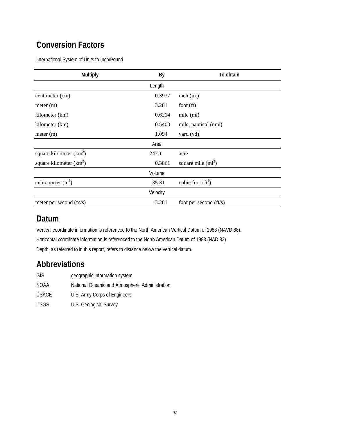### **Conversion Factors**

International System of Units to Inch/Pound

| Multiply                  | By       | To obtain              |
|---------------------------|----------|------------------------|
|                           | Length   |                        |
| centimeter (cm)           | 0.3937   | inch (in.)             |
| meter (m)                 | 3.281    | foot $(ft)$            |
| kilometer (km)            | 0.6214   | mile (mi)              |
| kilometer (km)            | 0.5400   | mile, nautical (nmi)   |
| meter (m)                 | 1.094    | yard (yd)              |
|                           | Area     |                        |
| square kilometer $(km^2)$ | 247.1    | acre                   |
| square kilometer $(km^2)$ | 0.3861   | square mile $(mi^2)$   |
|                           | Volume   |                        |
| cubic meter $(m3)$        | 35.31    | cubic foot $(ft^3)$    |
|                           | Velocity |                        |
| meter per second $(m/s)$  | 3.281    | foot per second (ft/s) |

### **Datum**

Vertical coordinate information is referenced to the North American Vertical Datum of 1988 (NAVD 88). Horizontal coordinate information is referenced to the North American Datum of 1983 (NAD 83). Depth, as referred to in this report, refers to distance below the vertical datum.

### **Abbreviations**

| <b>GIS</b>   | geographic information system                   |
|--------------|-------------------------------------------------|
| NOAA         | National Oceanic and Atmospheric Administration |
| <b>USACE</b> | U.S. Army Corps of Engineers                    |
| USGS.        | U.S. Geological Survey                          |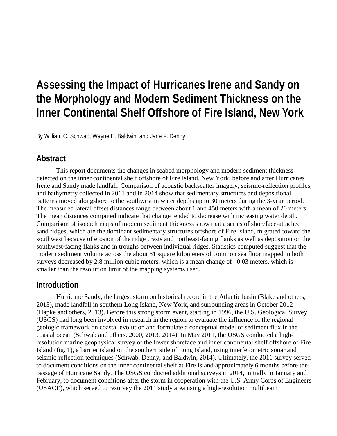# **Assessing the Impact of Hurricanes Irene and Sandy on the Morphology and Modern Sediment Thickness on the Inner Continental Shelf Offshore of Fire Island, New York**

By William C. Schwab, Wayne E. Baldwin, and Jane F. Denny

### **Abstract**

This report documents the changes in seabed morphology and modern sediment thickness detected on the inner continental shelf offshore of Fire Island, New York, before and after Hurricanes Irene and Sandy made landfall. Comparison of acoustic backscatter imagery, seismic-reflection profiles, and bathymetry collected in 2011 and in 2014 show that sedimentary structures and depositional patterns moved alongshore to the southwest in water depths up to 30 meters during the 3-year period. The measured lateral offset distances range between about 1 and 450 meters with a mean of 20 meters. The mean distances computed indicate that change tended to decrease with increasing water depth. Comparison of isopach maps of modern sediment thickness show that a series of shoreface-attached sand ridges, which are the dominant sedimentary structures offshore of Fire Island, migrated toward the southwest because of erosion of the ridge crests and northeast-facing flanks as well as deposition on the southwest-facing flanks and in troughs between individual ridges. Statistics computed suggest that the modern sediment volume across the about 81 square kilometers of common sea floor mapped in both surveys decreased by 2.8 million cubic meters, which is a mean change of –0.03 meters, which is smaller than the resolution limit of the mapping systems used.

#### **Introduction**

Hurricane Sandy, the largest storm on historical record in the Atlantic basin (Blake and others, 2013), made landfall in southern Long Island, New York, and surrounding areas in October 2012 (Hapke and others, 2013). Before this strong storm event, starting in 1996, the U.S. Geological Survey (USGS) had long been involved in research in the region to evaluate the influence of the regional geologic framework on coastal evolution and formulate a conceptual model of sediment flux in the coastal ocean (Schwab and others, 2000, 2013, 2014). In May 2011, the USGS conducted a highresolution marine geophysical survey of the lower shoreface and inner continental shelf offshore of Fire Island (fig. 1), a barrier island on the southern side of Long Island, using interferometric sonar and seismic-reflection techniques (Schwab, Denny, and Baldwin, 2014). Ultimately, the 2011 survey served to document conditions on the inner continental shelf at Fire Island approximately 6 months before the passage of Hurricane Sandy. The USGS conducted additional surveys in 2014, initially in January and February, to document conditions after the storm in cooperation with the U.S. Army Corps of Engineers (USACE), which served to resurvey the 2011 study area using a high-resolution multibeam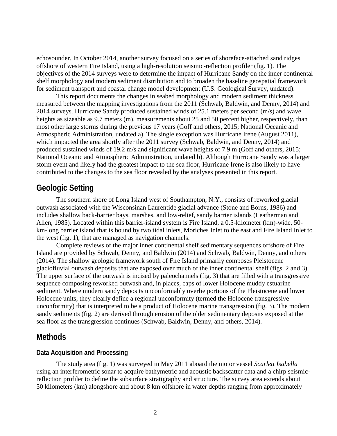echosounder. In October 2014, another survey focused on a series of shoreface-attached sand ridges offshore of western Fire Island, using a high-resolution seismic-reflection profiler (fig. 1). The objectives of the 2014 surveys were to determine the impact of Hurricane Sandy on the inner continental shelf morphology and modern sediment distribution and to broaden the baseline geospatial framework for sediment transport and coastal change model development (U.S. Geological Survey, undated).

This report documents the changes in seabed morphology and modern sediment thickness measured between the mapping investigations from the 2011 (Schwab, Baldwin, and Denny, 2014) and 2014 surveys. Hurricane Sandy produced sustained winds of 25.1 meters per second (m/s) and wave heights as sizeable as 9.7 meters (m), measurements about 25 and 50 percent higher, respectively, than most other large storms during the previous 17 years (Goff and others, 2015; National Oceanic and Atmospheric Administration, undated a). The single exception was Hurricane Irene (August 2011), which impacted the area shortly after the 2011 survey (Schwab, Baldwin, and Denny, 2014) and produced sustained winds of 19.2 m/s and significant wave heights of 7.9 m (Goff and others, 2015; National Oceanic and Atmospheric Administration, undated b). Although Hurricane Sandy was a larger storm event and likely had the greatest impact to the sea floor, Hurricane Irene is also likely to have contributed to the changes to the sea floor revealed by the analyses presented in this report.

#### **Geologic Setting**

The southern shore of Long Island west of Southampton, N.Y., consists of reworked glacial outwash associated with the Wisconsinan Laurentide glacial advance (Stone and Borns, 1986) and includes shallow back-barrier bays, marshes, and low-relief, sandy barrier islands (Leatherman and Allen, 1985). Located within this barrier-island system is Fire Island, a 0.5-kilometer (km)-wide, 50 km-long barrier island that is bound by two tidal inlets, Moriches Inlet to the east and Fire Island Inlet to the west (fig. 1), that are managed as navigation channels.

Complete reviews of the major inner continental shelf sedimentary sequences offshore of Fire Island are provided by Schwab, Denny, and Baldwin (2014) and Schwab, Baldwin, Denny, and others (2014). The shallow geologic framework south of Fire Island primarily composes Pleistocene glaciofluvial outwash deposits that are exposed over much of the inner continental shelf (figs. 2 and 3). The upper surface of the outwash is incised by paleochannels (fig. 3) that are filled with a transgressive sequence composing reworked outwash and, in places, caps of lower Holocene muddy estuarine sediment. Where modern sandy deposits unconformably overlie portions of the Pleistocene and lower Holocene units, they clearly define a regional unconformity (termed the Holocene transgressive unconformity) that is interpreted to be a product of Holocene marine transgression (fig. 3). The modern sandy sediments (fig. 2) are derived through erosion of the older sedimentary deposits exposed at the sea floor as the transgression continues (Schwab, Baldwin, Denny, and others, 2014).

#### **Methods**

#### **Data Acquisition and Processing**

The study area (fig. 1) was surveyed in May 2011 aboard the motor vessel *Scarlett Isabella* using an interferometric sonar to acquire bathymetric and acoustic backscatter data and a chirp seismicreflection profiler to define the subsurface stratigraphy and structure. The survey area extends about 50 kilometers (km) alongshore and about 8 km offshore in water depths ranging from approximately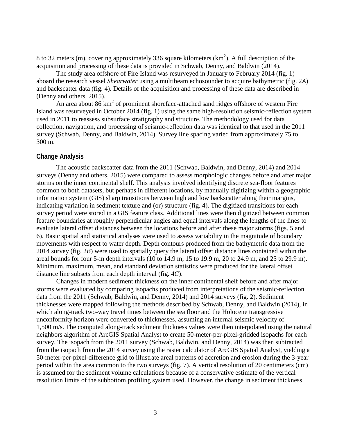8 to 32 meters (m), covering approximately 336 square kilometers ( $km<sup>2</sup>$ ). A full description of the acquisition and processing of these data is provided in Schwab, Denny, and Baldwin (2014).

The study area offshore of Fire Island was resurveyed in January to February 2014 (fig. 1) aboard the research vessel *Shearwater* using a multibeam echosounder to acquire bathymetric (fig. 2*A*) and backscatter data (fig. 4). Details of the acquisition and processing of these data are described in (Denny and others, 2015).

An area about  $86 \text{ km}^2$  of prominent shoreface-attached sand ridges offshore of western Fire Island was resurveyed in October 2014 (fig. 1) using the same high-resolution seismic-reflection system used in 2011 to reassess subsurface stratigraphy and structure. The methodology used for data collection, navigation, and processing of seismic-reflection data was identical to that used in the 2011 survey (Schwab, Denny, and Baldwin, 2014). Survey line spacing varied from approximately 75 to 300 m.

#### **Change Analysis**

The acoustic backscatter data from the 2011 (Schwab, Baldwin, and Denny, 2014) and 2014 surveys (Denny and others, 2015) were compared to assess morphologic changes before and after major storms on the inner continental shelf. This analysis involved identifying discrete sea-floor features common to both datasets, but perhaps in different locations, by manually digitizing within a geographic information system (GIS) sharp transitions between high and low backscatter along their margins, indicating variation in sediment texture and (or) structure (fig. 4). The digitized transitions for each survey period were stored in a GIS feature class. Additional lines were then digitized between common feature boundaries at roughly perpendicular angles and equal intervals along the lengths of the lines to evaluate lateral offset distances between the locations before and after these major storms (figs. 5 and 6). Basic spatial and statistical analyses were used to assess variability in the magnitude of boundary movements with respect to water depth. Depth contours produced from the bathymetric data from the 2014 survey (fig. 2*B*) were used to spatially query the lateral offset distance lines contained within the areal bounds for four 5-m depth intervals (10 to 14.9 m, 15 to 19.9 m, 20 to 24.9 m, and 25 to 29.9 m). Minimum, maximum, mean, and standard deviation statistics were produced for the lateral offset distance line subsets from each depth interval (fig. 4*C*).

Changes in modern sediment thickness on the inner continental shelf before and after major storms were evaluated by comparing isopachs produced from interpretations of the seismic-reflection data from the 2011 (Schwab, Baldwin, and Denny, 2014) and 2014 surveys (fig. 2). Sediment thicknesses were mapped following the methods described by Schwab, Denny, and Baldwin (2014), in which along-track two-way travel times between the sea floor and the Holocene transgressive unconformity horizon were converted to thicknesses, assuming an internal seismic velocity of 1,500 m/s. The computed along-track sediment thickness values were then interpolated using the natural neighbors algorithm of ArcGIS Spatial Analyst to create 50-meter-per-pixel-gridded isopachs for each survey. The isopach from the 2011 survey (Schwab, Baldwin, and Denny, 2014) was then subtracted from the isopach from the 2014 survey using the raster calculator of ArcGIS Spatial Analyst, yielding a 50-meter-per-pixel-difference grid to illustrate areal patterns of accretion and erosion during the 3-year period within the area common to the two surveys (fig. 7). A vertical resolution of 20 centimeters (cm) is assumed for the sediment volume calculations because of a conservative estimate of the vertical resolution limits of the subbottom profiling system used. However, the change in sediment thickness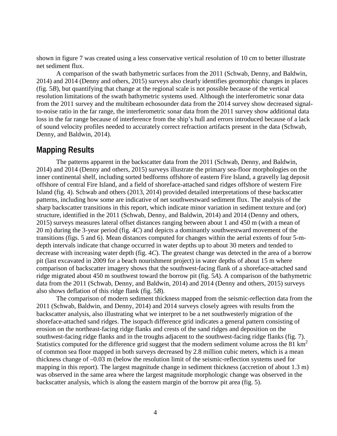shown in figure 7 was created using a less conservative vertical resolution of 10 cm to better illustrate net sediment flux.

A comparison of the swath bathymetric surfaces from the 2011 (Schwab, Denny, and Baldwin, 2014) and 2014 (Denny and others, 2015) surveys also clearly identifies geomorphic changes in places (fig. 5*B*), but quantifying that change at the regional scale is not possible because of the vertical resolution limitations of the swath bathymetric systems used. Although the interferometric sonar data from the 2011 survey and the multibeam echosounder data from the 2014 survey show decreased signalto-noise ratio in the far range, the interferometric sonar data from the 2011 survey show additional data loss in the far range because of interference from the ship's hull and errors introduced because of a lack of sound velocity profiles needed to accurately correct refraction artifacts present in the data (Schwab, Denny, and Baldwin, 2014).

#### **Mapping Results**

The patterns apparent in the backscatter data from the 2011 (Schwab, Denny, and Baldwin, 2014) and 2014 (Denny and others, 2015) surveys illustrate the primary sea-floor morphologies on the inner continental shelf, including sorted bedforms offshore of eastern Fire Island, a gravelly lag deposit offshore of central Fire Island, and a field of shoreface-attached sand ridges offshore of western Fire Island (fig. 4). Schwab and others (2013, 2014) provided detailed interpretations of these backscatter patterns, including how some are indicative of net southwestward sediment flux. The analysis of the sharp backscatter transitions in this report, which indicate minor variation in sediment texture and (or) structure, identified in the 2011 (Schwab, Denny, and Baldwin, 2014) and 2014 (Denny and others, 2015) surveys measures lateral offset distances ranging between about 1 and 450 m (with a mean of 20 m) during the 3-year period (fig. 4*C*) and depicts a dominantly southwestward movement of the transitions (figs. 5 and 6). Mean distances computed for changes within the aerial extents of four 5-mdepth intervals indicate that change occurred in water depths up to about 30 meters and tended to decrease with increasing water depth (fig. 4*C*). The greatest change was detected in the area of a borrow pit (last excavated in 2009 for a beach nourishment project) in water depths of about 15 m where comparison of backscatter imagery shows that the southwest-facing flank of a shoreface-attached sand ridge migrated about 450 m southwest toward the borrow pit (fig. 5*A*). A comparison of the bathymetric data from the 2011 (Schwab, Denny, and Baldwin, 2014) and 2014 (Denny and others, 2015) surveys also shows deflation of this ridge flank (fig. 5*B*).

The comparison of modern sediment thickness mapped from the seismic-reflection data from the 2011 (Schwab, Baldwin, and Denny, 2014) and 2014 surveys closely agrees with results from the backscatter analysis, also illustrating what we interpret to be a net southwesterly migration of the shoreface-attached sand ridges. The isopach difference grid indicates a general pattern consisting of erosion on the northeast-facing ridge flanks and crests of the sand ridges and deposition on the southwest-facing ridge flanks and in the troughs adjacent to the southwest-facing ridge flanks (fig. 7). Statistics computed for the difference grid suggest that the modern sediment volume across the 81  $\text{km}^2$ of common sea floor mapped in both surveys decreased by 2.8 million cubic meters, which is a mean thickness change of –0.03 m (below the resolution limit of the seismic-reflection systems used for mapping in this report). The largest magnitude change in sediment thickness (accretion of about 1.3 m) was observed in the same area where the largest magnitude morphologic change was observed in the backscatter analysis, which is along the eastern margin of the borrow pit area (fig. 5).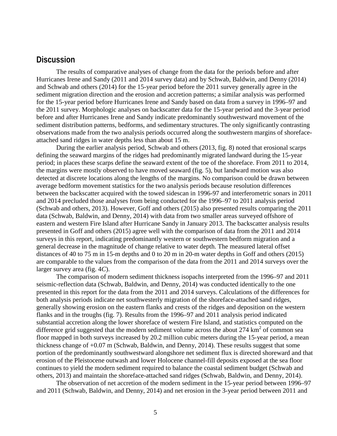#### **Discussion**

The results of comparative analyses of change from the data for the periods before and after Hurricanes Irene and Sandy (2011 and 2014 survey data) and by Schwab, Baldwin, and Denny (2014) and Schwab and others (2014) for the 15-year period before the 2011 survey generally agree in the sediment migration direction and the erosion and accretion patterns; a similar analysis was performed for the 15-year period before Hurricanes Irene and Sandy based on data from a survey in 1996–97 and the 2011 survey. Morphologic analyses on backscatter data for the 15-year period and the 3-year period before and after Hurricanes Irene and Sandy indicate predominantly southwestward movement of the sediment distribution patterns, bedforms, and sedimentary structures. The only significantly contrasting observations made from the two analysis periods occurred along the southwestern margins of shorefaceattached sand ridges in water depths less than about 15 m.

During the earlier analysis period, Schwab and others (2013, fig. 8) noted that erosional scarps defining the seaward margins of the ridges had predominantly migrated landward during the 15-year period; in places these scarps define the seaward extent of the toe of the shoreface. From 2011 to 2014, the margins were mostly observed to have moved seaward (fig. 5), but landward motion was also detected at discrete locations along the lengths of the margins. No comparison could be drawn between average bedform movement statistics for the two analysis periods because resolution differences between the backscatter acquired with the towed sidescan in 1996-97 and interferometric sonars in 2011 and 2014 precluded those analyses from being conducted for the 1996–97 to 2011 analysis period (Schwab and others, 2013). However, Goff and others (2015) also presented results comparing the 2011 data (Schwab, Baldwin, and Denny, 2014) with data from two smaller areas surveyed offshore of eastern and western Fire Island after Hurricane Sandy in January 2013. The backscatter analysis results presented in Goff and others (2015) agree well with the comparison of data from the 2011 and 2014 surveys in this report, indicating predominantly western or southwestern bedform migration and a general decrease in the magnitude of change relative to water depth. The measured lateral offset distances of 40 to 75 m in 15-m depths and 0 to 20 m in 20-m water depths in Goff and others (2015) are comparable to the values from the comparison of the data from the 2011 and 2014 surveys over the larger survey area (fig. 4*C*).

The comparison of modern sediment thickness isopachs interpreted from the 1996–97 and 2011 seismic-reflection data (Schwab, Baldwin, and Denny, 2014) was conducted identically to the one presented in this report for the data from the 2011 and 2014 surveys. Calculations of the differences for both analysis periods indicate net southwesterly migration of the shoreface-attached sand ridges, generally showing erosion on the eastern flanks and crests of the ridges and deposition on the western flanks and in the troughs (fig. 7). Results from the 1996–97 and 2011 analysis period indicated substantial accretion along the lower shoreface of western Fire Island, and statistics computed on the difference grid suggested that the modern sediment volume across the about  $274 \text{ km}^2$  of common sea floor mapped in both surveys increased by 20.2 million cubic meters during the 15-year period, a mean thickness change of +0.07 m (Schwab, Baldwin, and Denny, 2014). These results suggest that some portion of the predominantly southwestward alongshore net sediment flux is directed shoreward and that erosion of the Pleistocene outwash and lower Holocene channel-fill deposits exposed at the sea floor continues to yield the modern sediment required to balance the coastal sediment budget (Schwab and others, 2013) and maintain the shoreface-attached sand ridges (Schwab, Baldwin, and Denny, 2014).

The observation of net accretion of the modern sediment in the 15-year period between 1996–97 and 2011 (Schwab, Baldwin, and Denny, 2014) and net erosion in the 3-year period between 2011 and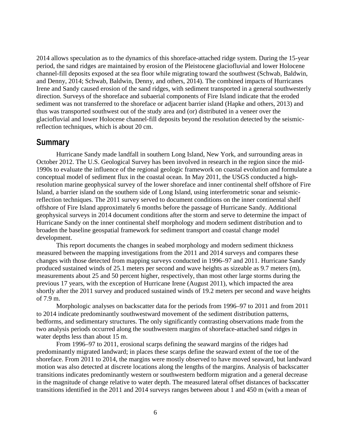2014 allows speculation as to the dynamics of this shoreface-attached ridge system. During the 15-year period, the sand ridges are maintained by erosion of the Pleistocene glaciofluvial and lower Holocene channel-fill deposits exposed at the sea floor while migrating toward the southwest (Schwab, Baldwin, and Denny, 2014; Schwab, Baldwin, Denny, and others, 2014). The combined impacts of Hurricanes Irene and Sandy caused erosion of the sand ridges, with sediment transported in a general southwesterly direction. Surveys of the shoreface and subaerial components of Fire Island indicate that the eroded sediment was not transferred to the shoreface or adjacent barrier island (Hapke and others, 2013) and thus was transported southwest out of the study area and (or) distributed in a veneer over the glaciofluvial and lower Holocene channel-fill deposits beyond the resolution detected by the seismicreflection techniques, which is about 20 cm.

#### **Summary**

Hurricane Sandy made landfall in southern Long Island, New York, and surrounding areas in October 2012. The U.S. Geological Survey has been involved in research in the region since the mid-1990s to evaluate the influence of the regional geologic framework on coastal evolution and formulate a conceptual model of sediment flux in the coastal ocean. In May 2011, the USGS conducted a highresolution marine geophysical survey of the lower shoreface and inner continental shelf offshore of Fire Island, a barrier island on the southern side of Long Island, using interferometric sonar and seismicreflection techniques. The 2011 survey served to document conditions on the inner continental shelf offshore of Fire Island approximately 6 months before the passage of Hurricane Sandy. Additional geophysical surveys in 2014 document conditions after the storm and serve to determine the impact of Hurricane Sandy on the inner continental shelf morphology and modern sediment distribution and to broaden the baseline geospatial framework for sediment transport and coastal change model development.

This report documents the changes in seabed morphology and modern sediment thickness measured between the mapping investigations from the 2011 and 2014 surveys and compares these changes with those detected from mapping surveys conducted in 1996–97 and 2011. Hurricane Sandy produced sustained winds of 25.1 meters per second and wave heights as sizeable as 9.7 meters (m), measurements about 25 and 50 percent higher, respectively, than most other large storms during the previous 17 years, with the exception of Hurricane Irene (August 2011), which impacted the area shortly after the 2011 survey and produced sustained winds of 19.2 meters per second and wave heights of 7.9 m.

Morphologic analyses on backscatter data for the periods from 1996–97 to 2011 and from 2011 to 2014 indicate predominantly southwestward movement of the sediment distribution patterns, bedforms, and sedimentary structures. The only significantly contrasting observations made from the two analysis periods occurred along the southwestern margins of shoreface-attached sand ridges in water depths less than about 15 m.

From 1996–97 to 2011, erosional scarps defining the seaward margins of the ridges had predominantly migrated landward; in places these scarps define the seaward extent of the toe of the shoreface. From 2011 to 2014, the margins were mostly observed to have moved seaward, but landward motion was also detected at discrete locations along the lengths of the margins. Analysis of backscatter transitions indicates predominantly western or southwestern bedform migration and a general decrease in the magnitude of change relative to water depth. The measured lateral offset distances of backscatter transitions identified in the 2011 and 2014 surveys ranges between about 1 and 450 m (with a mean of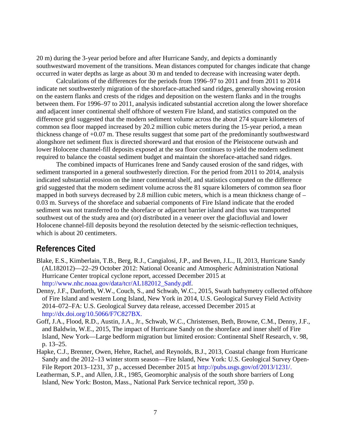20 m) during the 3-year period before and after Hurricane Sandy, and depicts a dominantly southwestward movement of the transitions. Mean distances computed for changes indicate that change occurred in water depths as large as about 30 m and tended to decrease with increasing water depth.

Calculations of the differences for the periods from 1996–97 to 2011 and from 2011 to 2014 indicate net southwesterly migration of the shoreface-attached sand ridges, generally showing erosion on the eastern flanks and crests of the ridges and deposition on the western flanks and in the troughs between them. For 1996–97 to 2011, analysis indicated substantial accretion along the lower shoreface and adjacent inner continental shelf offshore of western Fire Island, and statistics computed on the difference grid suggested that the modern sediment volume across the about 274 square kilometers of common sea floor mapped increased by 20.2 million cubic meters during the 15-year period, a mean thickness change of +0.07 m. These results suggest that some part of the predominantly southwestward alongshore net sediment flux is directed shoreward and that erosion of the Pleistocene outwash and lower Holocene channel-fill deposits exposed at the sea floor continues to yield the modern sediment required to balance the coastal sediment budget and maintain the shoreface-attached sand ridges.

The combined impacts of Hurricanes Irene and Sandy caused erosion of the sand ridges, with sediment transported in a general southwesterly direction. For the period from 2011 to 2014, analysis indicated substantial erosion on the inner continental shelf, and statistics computed on the difference grid suggested that the modern sediment volume across the 81 square kilometers of common sea floor mapped in both surveys decreased by 2.8 million cubic meters, which is a mean thickness change of  $-$ 0.03 m. Surveys of the shoreface and subaerial components of Fire Island indicate that the eroded sediment was not transferred to the shoreface or adjacent barrier island and thus was transported southwest out of the study area and (or) distributed in a veneer over the glaciofluvial and lower Holocene channel-fill deposits beyond the resolution detected by the seismic-reflection techniques, which is about 20 centimeters.

### **References Cited**

- Blake, E.S., Kimberlain, T.B., Berg, R.J., Cangialosi, J.P., and Beven, J.L., II, 2013, Hurricane Sandy (AL182012)—22–29 October 2012: National Oceanic and Atmospheric Administration National Hurricane Center tropical cyclone report, accessed December 2015 at [http://www.nhc.noaa.gov/data/tcr/AL182012\\_Sandy.pdf.](http://www.nhc.noaa.gov/data/tcr/AL182012_Sandy.pdf)
- Denny, J.F., Danforth, W.W., Couch, S., and Schwab, W.C., 2015, Swath bathymetry collected offshore of Fire Island and western Long Island, New York in 2014, U.S. Geological Survey Field Activity 2014–072–FA: U.S. Geological Survey data release, accessed December 2015 at [http://dx.doi.org/10.5066/F7C827BX.](http://dx.doi.org/10.5066/F7C827BX)
- Goff, J.A., Flood, R.D., Austin, J.A., Jr., Schwab, W.C., Christensen, Beth, Browne, C.M., Denny, J.F., and Baldwin, W.E., 2015, The impact of Hurricane Sandy on the shoreface and inner shelf of Fire Island, New York—Large bedform migration but limited erosion: Continental Shelf Research, v. 98, p. 13–25.
- Hapke, C.J., Brenner, Owen, Hehre, Rachel, and Reynolds, B.J., 2013, Coastal change from Hurricane Sandy and the 2012–13 winter storm season—Fire Island, New York: U.S. Geological Survey Open-File Report 2013–1231, 37 p., accessed December 2015 at [http://pubs.usgs.gov/of/2013/1231/.](http://pubs.usgs.gov/of/2013/1231/)
- Leatherman, S.P., and Allen, J.R., 1985, Geomorphic analysis of the south shore barriers of Long Island, New York: Boston, Mass., National Park Service technical report, 350 p.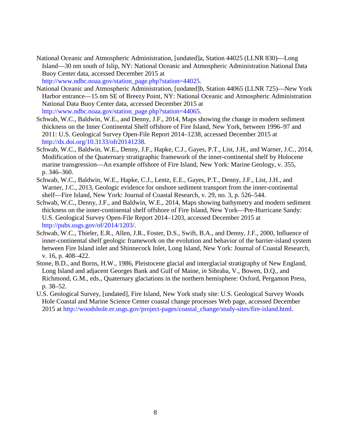- National Oceanic and Atmospheric Administration, [undated]a, Station 44025 (LLNR 830)—Long Island—30 nm south of Islip, NY: National Oceanic and Atmospheric Administration National Data Buoy Center data, accessed December 2015 at [http://www.ndbc.noaa.gov/station\\_page.php?station=44025.](http://www.ndbc.noaa.gov/station_page.php?station=44025)
- National Oceanic and Atmospheric Administration, [undated]b, Station 44065 (LLNR 725)—New York Harbor entrance—15 nm SE of Breezy Point, NY: National Oceanic and Atmospheric Administration National Data Buoy Center data, accessed December 2015 at [http://www.ndbc.noaa.gov/station\\_page.php?station=44065.](http://www.ndbc.noaa.gov/station_page.php?station=44065)
- Schwab, W.C., Baldwin, W.E., and Denny, J.F., 2014, Maps showing the change in modern sediment thickness on the Inner Continental Shelf offshore of Fire Island, New York, between 1996–97 and 2011: U.S. Geological Survey Open-File Report 2014–1238, accessed December 2015 at [http://dx.doi.org/10.3133/ofr20141238.](http://dx.doi.org/10.3133/ofr20141238)
- Schwab, W.C., Baldwin, W.E., Denny, J.F., Hapke, C.J., Gayes, P.T., List, J.H., and Warner, J.C., 2014, Modification of the Quaternary stratigraphic framework of the inner-continental shelf by Holocene marine transgression—An example offshore of Fire Island, New York: Marine Geology, v. 355, p. 346–360.
- Schwab, W.C., Baldwin, W.E., Hapke, C.J., Lentz, E.E., Gayes, P.T., Denny, J.F., List, J.H., and Warner, J.C., 2013, Geologic evidence for onshore sediment transport from the inner-continental shelf—Fire Island, New York: Journal of Coastal Research, v. 29, no. 3, p. 526–544.
- Schwab, W.C., Denny, J.F., and Baldwin, W.E., 2014, Maps showing bathymetry and modern sediment thickness on the inner-continental shelf offshore of Fire Island, New York—Pre-Hurricane Sandy: U.S. Geological Survey Open-File Report 2014–1203, accessed December 2015 at [http://pubs.usgs.gov/of/2014/1203/.](http://pubs.usgs.gov/of/2014/1203/)
- Schwab, W.C., Thieler, E.R., Allen, J.R., Foster, D.S., Swift, B.A., and Denny, J.F., 2000, Influence of inner-continental shelf geologic framework on the evolution and behavior of the barrier-island system between Fire Island inlet and Shinnecock Inlet, Long Island, New York: Journal of Coastal Research, v. 16, p. 408–422.
- Stone, B.D., and Borns, H.W., 1986, Pleistocene glacial and interglacial stratigraphy of New England, Long Island and adjacent Georges Bank and Gulf of Maine, *in* Sibraba, V., Bowen, D.Q., and Richmond, G.M., eds., Quaternary glaciations in the northern hemisphere: Oxford, Pergamon Press, p. 38–52.
- U.S. Geological Survey, [undated], Fire Island, New York study site: U.S. Geological Survey Woods Hole Coastal and Marine Science Center coastal change processes Web page, accessed December 2015 at [http://woodshole.er.usgs.gov/project-pages/coastal\\_change/study-sites/fire-island.html.](http://woodshole.er.usgs.gov/project-pages/coastal_change/study-sites/fire-island.html)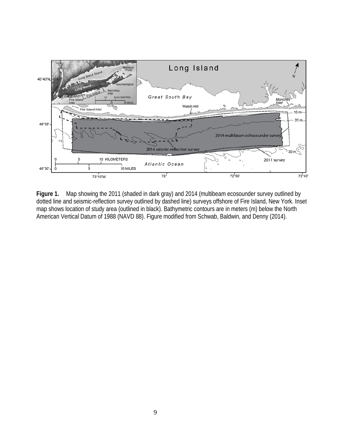

**Figure 1.** Map showing the 2011 (shaded in dark gray) and 2014 (multibeam ecosounder survey outlined by dotted line and seismic-reflection survey outlined by dashed line) surveys offshore of Fire Island, New York. Inset map shows location of study area (outlined in black). Bathymetric contours are in meters (m) below the North American Vertical Datum of 1988 (NAVD 88). Figure modified from Schwab, Baldwin, and Denny (2014).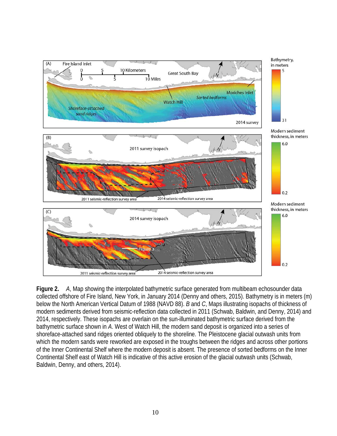

**Figure 2.** *A*, Map showing the interpolated bathymetric surface generated from multibeam echosounder data collected offshore of Fire Island, New York, in January 2014 (Denny and others, 2015). Bathymetry is in meters (m) below the North American Vertical Datum of 1988 (NAVD 88). *B* and *C*, Maps illustrating isopachs of thickness of modern sediments derived from seismic-reflection data collected in 2011 (Schwab, Baldwin, and Denny, 2014) and 2014, respectively. These isopachs are overlain on the sun-illuminated bathymetric surface derived from the bathymetric surface shown in *A*. West of Watch Hill, the modern sand deposit is organized into a series of shoreface-attached sand ridges oriented obliquely to the shoreline. The Pleistocene glacial outwash units from which the modern sands were reworked are exposed in the troughs between the ridges and across other portions of the Inner Continental Shelf where the modern deposit is absent. The presence of sorted bedforms on the Inner Continental Shelf east of Watch Hill is indicative of this active erosion of the glacial outwash units (Schwab, Baldwin, Denny, and others, 2014).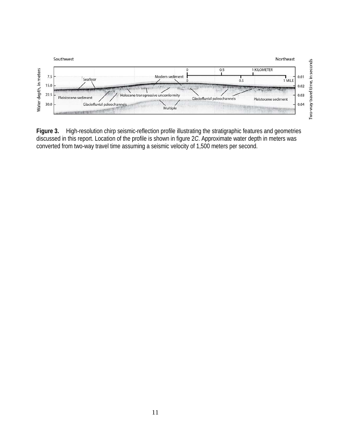

**Figure 3.** High-resolution chirp seismic-reflection profile illustrating the stratigraphic features and geometries discussed in this report. Location of the profile is shown in figure 2*C*. Approximate water depth in meters was converted from two-way travel time assuming a seismic velocity of 1,500 meters per second.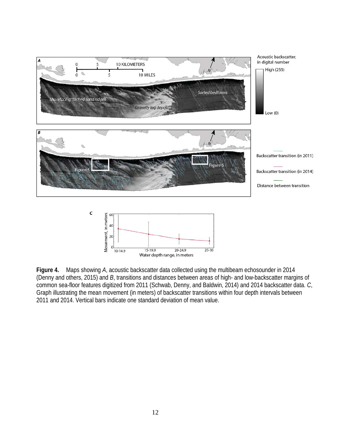



**Figure 4.** Maps showing *A*, acoustic backscatter data collected using the multibeam echosounder in 2014 (Denny and others, 2015) and *B*, transitions and distances between areas of high- and low-backscatter margins of common sea-floor features digitized from 2011 (Schwab, Denny, and Baldwin, 2014) and 2014 backscatter data. *C*, Graph illustrating the mean movement (in meters) of backscatter transitions within four depth intervals between 2011 and 2014. Vertical bars indicate one standard deviation of mean value.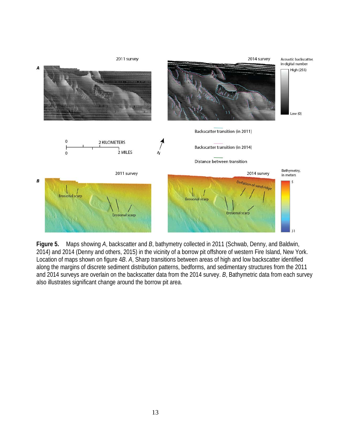

**Figure 5.** Maps showing *A*, backscatter and *B*, bathymetry collected in 2011 (Schwab, Denny, and Baldwin, 2014) and 2014 (Denny and others, 2015) in the vicinity of a borrow pit offshore of western Fire Island, New York. Location of maps shown on figure 4*B*. *A*, Sharp transitions between areas of high and low backscatter identified along the margins of discrete sediment distribution patterns, bedforms, and sedimentary structures from the 2011 and 2014 surveys are overlain on the backscatter data from the 2014 survey. *B*, Bathymetric data from each survey also illustrates significant change around the borrow pit area.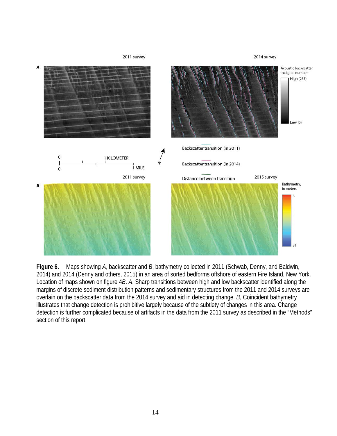

**Figure 6.** Maps showing *A*, backscatter and *B*, bathymetry collected in 2011 (Schwab, Denny, and Baldwin, 2014) and 2014 (Denny and others, 2015) in an area of sorted bedforms offshore of eastern Fire Island, New York. Location of maps shown on figure 4*B*. *A*, Sharp transitions between high and low backscatter identified along the margins of discrete sediment distribution patterns and sedimentary structures from the 2011 and 2014 surveys are overlain on the backscatter data from the 2014 survey and aid in detecting change. *B*, Coincident bathymetry illustrates that change detection is prohibitive largely because of the subtlety of changes in this area. Change detection is further complicated because of artifacts in the data from the 2011 survey as described in the "Methods" section of this report.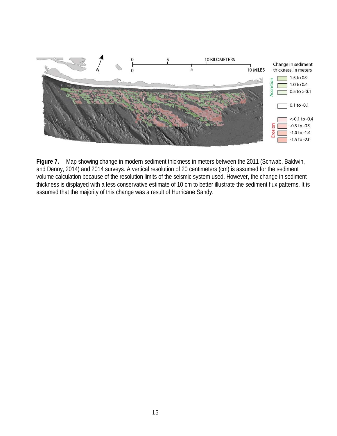

**Figure 7.** Map showing change in modern sediment thickness in meters between the 2011 (Schwab, Baldwin, and Denny, 2014) and 2014 surveys. A vertical resolution of 20 centimeters (cm) is assumed for the sediment volume calculation because of the resolution limits of the seismic system used. However, the change in sediment thickness is displayed with a less conservative estimate of 10 cm to better illustrate the sediment flux patterns. It is assumed that the majority of this change was a result of Hurricane Sandy.